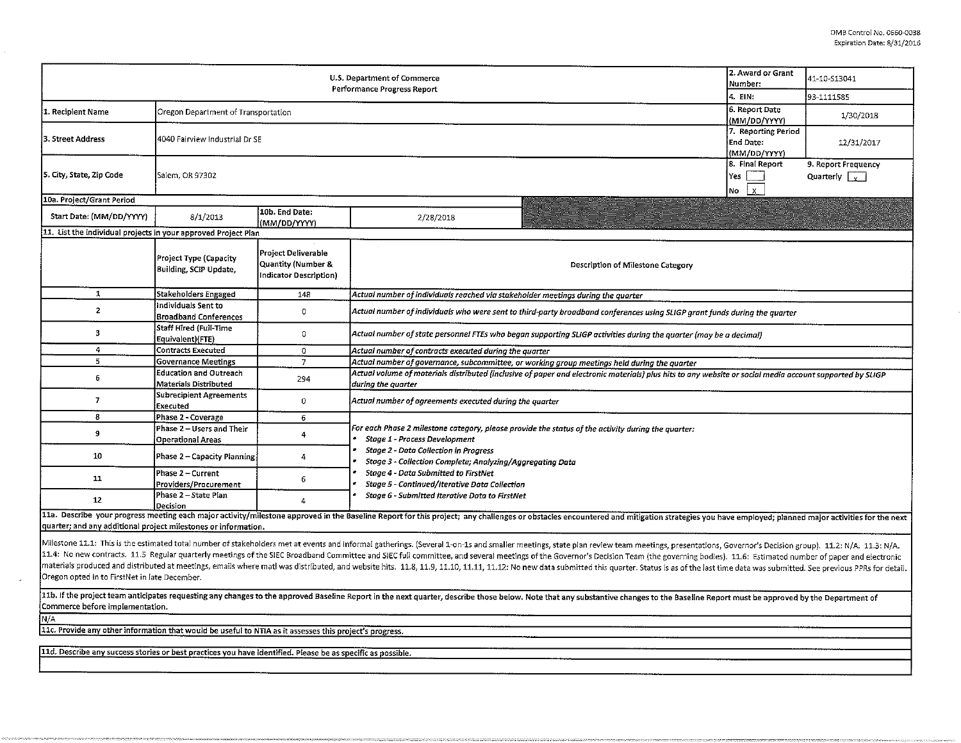|                                                                                                                                                                                                                                                                                                                                                                                                                                                                                                                                                                                                                                                                                                                                                                                                                                                                                                                                                                                      | 2. Award or Grant<br>Number:                           | 41-10-S13041                                                                   |                                                                                                                                                                                |                                             |  |  |  |  |  |  |  |  |  |
|--------------------------------------------------------------------------------------------------------------------------------------------------------------------------------------------------------------------------------------------------------------------------------------------------------------------------------------------------------------------------------------------------------------------------------------------------------------------------------------------------------------------------------------------------------------------------------------------------------------------------------------------------------------------------------------------------------------------------------------------------------------------------------------------------------------------------------------------------------------------------------------------------------------------------------------------------------------------------------------|--------------------------------------------------------|--------------------------------------------------------------------------------|--------------------------------------------------------------------------------------------------------------------------------------------------------------------------------|---------------------------------------------|--|--|--|--|--|--|--|--|--|
|                                                                                                                                                                                                                                                                                                                                                                                                                                                                                                                                                                                                                                                                                                                                                                                                                                                                                                                                                                                      | 4. EIN:                                                | 93-1111585                                                                     |                                                                                                                                                                                |                                             |  |  |  |  |  |  |  |  |  |
| 1. Recipient Name                                                                                                                                                                                                                                                                                                                                                                                                                                                                                                                                                                                                                                                                                                                                                                                                                                                                                                                                                                    | Oregon Department of Transportation                    | 6. Report Date<br>(MM/DD/YYYY)                                                 | 1/30/2018                                                                                                                                                                      |                                             |  |  |  |  |  |  |  |  |  |
| 3. Street Address                                                                                                                                                                                                                                                                                                                                                                                                                                                                                                                                                                                                                                                                                                                                                                                                                                                                                                                                                                    | 4040 Fairview Industrial Dr SE                         |                                                                                | 7. Reporting Period<br>End Date:<br>(MM/DD/YYYY)                                                                                                                               | 12/31/2017                                  |  |  |  |  |  |  |  |  |  |
| 5. City, State, Zip Code                                                                                                                                                                                                                                                                                                                                                                                                                                                                                                                                                                                                                                                                                                                                                                                                                                                                                                                                                             | Salem, OR 97302                                        |                                                                                | 8. Final Report<br>Yes<br>İχ.<br>No                                                                                                                                            | 9. Report Frequency<br>Quarterly $\sqrt{v}$ |  |  |  |  |  |  |  |  |  |
| 10a. Project/Grant Period                                                                                                                                                                                                                                                                                                                                                                                                                                                                                                                                                                                                                                                                                                                                                                                                                                                                                                                                                            |                                                        |                                                                                |                                                                                                                                                                                |                                             |  |  |  |  |  |  |  |  |  |
| Start Date: (MM/DD/YYYY)                                                                                                                                                                                                                                                                                                                                                                                                                                                                                                                                                                                                                                                                                                                                                                                                                                                                                                                                                             | 8/1/2013                                               | 10b. End Date:<br>(MM/DD/YYYY)                                                 | 2/28/2018                                                                                                                                                                      |                                             |  |  |  |  |  |  |  |  |  |
| 11. List the individual projects in your approved Project Plan                                                                                                                                                                                                                                                                                                                                                                                                                                                                                                                                                                                                                                                                                                                                                                                                                                                                                                                       |                                                        |                                                                                |                                                                                                                                                                                |                                             |  |  |  |  |  |  |  |  |  |
|                                                                                                                                                                                                                                                                                                                                                                                                                                                                                                                                                                                                                                                                                                                                                                                                                                                                                                                                                                                      | Project Type (Capacity<br>Building, SCIP Update,       | Project Deliverable<br><b>Quantity (Number &amp;</b><br>Indicator Description) | Description of Milestone Category                                                                                                                                              |                                             |  |  |  |  |  |  |  |  |  |
| $\mathbf{1}$                                                                                                                                                                                                                                                                                                                                                                                                                                                                                                                                                                                                                                                                                                                                                                                                                                                                                                                                                                         | Stakeholders Engaged                                   | 148                                                                            | Actual number of individuals reached via stakeholder meetings during the quarter                                                                                               |                                             |  |  |  |  |  |  |  |  |  |
| $\overline{2}$                                                                                                                                                                                                                                                                                                                                                                                                                                                                                                                                                                                                                                                                                                                                                                                                                                                                                                                                                                       | Individuals Sent to<br><b>Broadband Conferences</b>    | 0                                                                              | Actual number of individuals who were sent to third-party broadband conferences using SLIGP grant funds during the quarter                                                     |                                             |  |  |  |  |  |  |  |  |  |
| 3                                                                                                                                                                                                                                                                                                                                                                                                                                                                                                                                                                                                                                                                                                                                                                                                                                                                                                                                                                                    | <b>Staff Hired (Full-Time</b><br>Equivalent)(FTE)      | 0                                                                              | Actual number of state personnel FTEs who began supporting SLIGP activities during the quarter (may be a decimal)                                                              |                                             |  |  |  |  |  |  |  |  |  |
| $\overline{4}$                                                                                                                                                                                                                                                                                                                                                                                                                                                                                                                                                                                                                                                                                                                                                                                                                                                                                                                                                                       | <b>Contracts Executed</b>                              | $\mathbf 0$                                                                    | Actual number of contracts executed during the quarter                                                                                                                         |                                             |  |  |  |  |  |  |  |  |  |
| $5\,$                                                                                                                                                                                                                                                                                                                                                                                                                                                                                                                                                                                                                                                                                                                                                                                                                                                                                                                                                                                | <b>Governance Meetings</b>                             | $\overline{7}$                                                                 | Actual number of governance, subcommittee, or working group meetings held during the quarter                                                                                   |                                             |  |  |  |  |  |  |  |  |  |
| $\epsilon$                                                                                                                                                                                                                                                                                                                                                                                                                                                                                                                                                                                                                                                                                                                                                                                                                                                                                                                                                                           | <b>Education and Outreach</b><br>Materials Distributed | 294                                                                            | Actual volume of materials distributed (inclusive of paper and electronic materials) plus hits to any website or social media account supported by SLIGP<br>during the quarter |                                             |  |  |  |  |  |  |  |  |  |
| $\overline{7}$                                                                                                                                                                                                                                                                                                                                                                                                                                                                                                                                                                                                                                                                                                                                                                                                                                                                                                                                                                       | <b>Subrecipient Agreements</b><br>Executed             | 0                                                                              | Actual number of agreements executed during the quarter                                                                                                                        |                                             |  |  |  |  |  |  |  |  |  |
| 8                                                                                                                                                                                                                                                                                                                                                                                                                                                                                                                                                                                                                                                                                                                                                                                                                                                                                                                                                                                    | Phase 2 - Coverage                                     | 6                                                                              | For each Phase 2 milestone category, please provide the status of the activity during the quarter:<br>Stage 1 - Process Development                                            |                                             |  |  |  |  |  |  |  |  |  |
| $\boldsymbol{9}$                                                                                                                                                                                                                                                                                                                                                                                                                                                                                                                                                                                                                                                                                                                                                                                                                                                                                                                                                                     | Phase 2 - Users and Their<br><b>Operational Areas</b>  | 4                                                                              |                                                                                                                                                                                |                                             |  |  |  |  |  |  |  |  |  |
| 10                                                                                                                                                                                                                                                                                                                                                                                                                                                                                                                                                                                                                                                                                                                                                                                                                                                                                                                                                                                   | Phase 2 - Capacity Planning                            | 4                                                                              | <b>Stage 2 - Data Collection in Progress</b><br>Stage 3 - Collection Complete; Analyzing/Aggregating Data                                                                      |                                             |  |  |  |  |  |  |  |  |  |
| 11                                                                                                                                                                                                                                                                                                                                                                                                                                                                                                                                                                                                                                                                                                                                                                                                                                                                                                                                                                                   | Phase 2 - Current<br>Providers/Procurement             | 6                                                                              | Stage 4 - Data Submitted to FirstNet<br>Stage 5 - Continued/Iterative Data Collection                                                                                          |                                             |  |  |  |  |  |  |  |  |  |
| 12                                                                                                                                                                                                                                                                                                                                                                                                                                                                                                                                                                                                                                                                                                                                                                                                                                                                                                                                                                                   | Phase 2 - State Plan<br>Decision                       | $\overline{4}$                                                                 | Stage 6 - Submitted Iterative Data to FirstNet                                                                                                                                 |                                             |  |  |  |  |  |  |  |  |  |
| 11a. Describe your progress meeting each major activity/milestone approved in the Baseline Report for this project; any challenges or obstacles encountered and mitigation strategies you have employed; planned major activit<br>quarter; and any additional project milestones or information.                                                                                                                                                                                                                                                                                                                                                                                                                                                                                                                                                                                                                                                                                     |                                                        |                                                                                |                                                                                                                                                                                |                                             |  |  |  |  |  |  |  |  |  |
| Milestone 11.1: This is the estimated total number of stakeholders met at events and informal gatherings. (Several 1-on-1s and smaller meetings, state plan review team meetings, presentations, Governor's Decision group). 1<br>11.4: No new contracts. 11.5 Regular quarterly meetings of the SIEC Broadband Committee and SIEC full committee, and several meetings of the Governor's Decision Team (the governing bodies). 11.6: Estimated number of paper<br>materials produced and distributed at meetings, emails where matl was distributed, and website hits. 11.8, 11.9, 11.10, 11.11, 11.12: No new data submitted this quarter. Status is as of the last time data was submitted. Se<br>Oregon opted in to FirstNet in late December.<br>11b. If the project team anticipates requesting any changes to the approved Baseline Report in the next quarter, describe those below. Note that any substantive changes to the Baseline Report must be approved by the Depart |                                                        |                                                                                |                                                                                                                                                                                |                                             |  |  |  |  |  |  |  |  |  |
| Commerce before implementation.                                                                                                                                                                                                                                                                                                                                                                                                                                                                                                                                                                                                                                                                                                                                                                                                                                                                                                                                                      |                                                        |                                                                                |                                                                                                                                                                                |                                             |  |  |  |  |  |  |  |  |  |
| N/A                                                                                                                                                                                                                                                                                                                                                                                                                                                                                                                                                                                                                                                                                                                                                                                                                                                                                                                                                                                  |                                                        |                                                                                |                                                                                                                                                                                |                                             |  |  |  |  |  |  |  |  |  |
| 11c. Provide any other information that would be useful to NTIA as it assesses this project's progress.                                                                                                                                                                                                                                                                                                                                                                                                                                                                                                                                                                                                                                                                                                                                                                                                                                                                              |                                                        |                                                                                |                                                                                                                                                                                |                                             |  |  |  |  |  |  |  |  |  |
| 11d. Describe any success stories or best practices you have identified. Please be as specific as possible.                                                                                                                                                                                                                                                                                                                                                                                                                                                                                                                                                                                                                                                                                                                                                                                                                                                                          |                                                        |                                                                                |                                                                                                                                                                                |                                             |  |  |  |  |  |  |  |  |  |
|                                                                                                                                                                                                                                                                                                                                                                                                                                                                                                                                                                                                                                                                                                                                                                                                                                                                                                                                                                                      |                                                        |                                                                                |                                                                                                                                                                                |                                             |  |  |  |  |  |  |  |  |  |
|                                                                                                                                                                                                                                                                                                                                                                                                                                                                                                                                                                                                                                                                                                                                                                                                                                                                                                                                                                                      |                                                        |                                                                                |                                                                                                                                                                                |                                             |  |  |  |  |  |  |  |  |  |

ä,